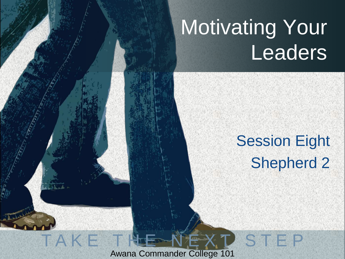# Motivating Your Leaders

## **Session Eight** Shepherd 2

STEP

Awana Commander College 101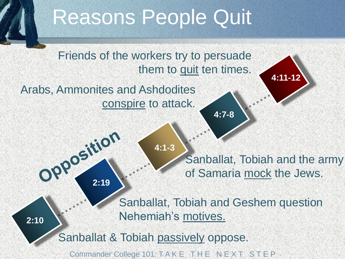## Reasons People Quit

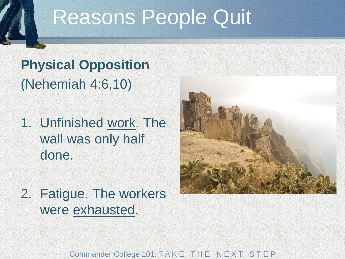## Reasons People Quit

#### **Physical Opposition** (Nehemiah 4:6,10)

- 1. Unfinished work. The wall was only half done.
- 2. Fatigue. The workers were exhausted.

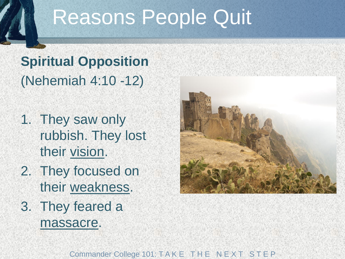## Reasons People Quit

## **Spiritual Opposition** (Nehemiah 4:10 -12)

- 1. They saw only rubbish. They lost their vision.
- 2. They focused on their weakness.
- 3. They feared a massacre.

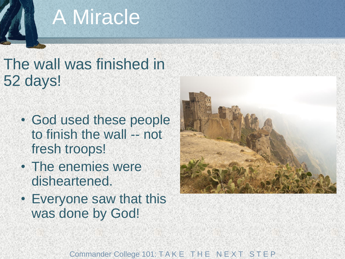## A Miracle

#### The wall was finished in 52 days!

- God used these people to finish the wall -- not fresh troops!
- The enemies were disheartened.
- Everyone saw that this was done by God!



Commander College 101: T A K E T H E N E X T S T E P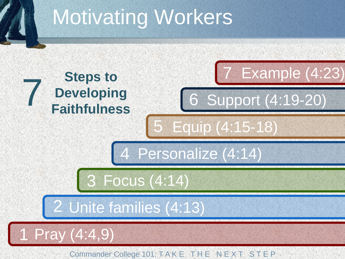# Motivating Workers

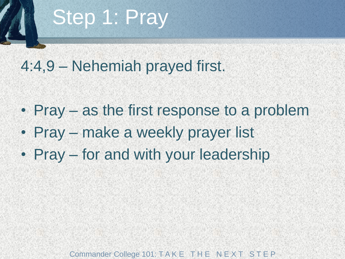## Step 1: Pray

#### 4:4,9 – Nehemiah prayed first.

- Pray as the first response to a problem
- Pray make a weekly prayer list
- Pray for and with your leadership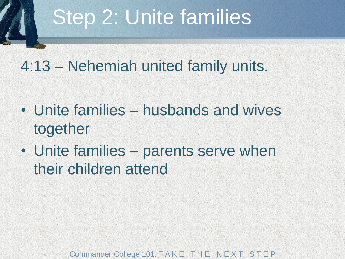## Step 2: Unite families

#### 4:13 – Nehemiah united family units.

- Unite families husbands and wives together
- Unite families parents serve when their children attend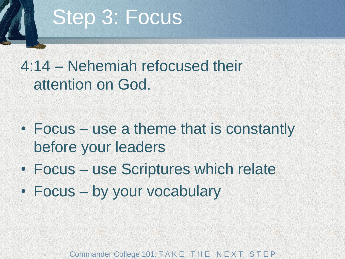## Step 3: Focus

#### 4:14 – Nehemiah refocused their attention on God.

### • Focus – use a theme that is constantly before your leaders

- Focus use Scriptures which relate
- Focus by your vocabulary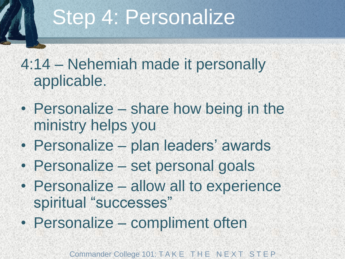## Step 4: Personalize

#### 4:14 – Nehemiah made it personally applicable.

- Personalize share how being in the ministry helps you
- Personalize plan leaders' awards
- Personalize set personal goals
- Personalize allow all to experience spiritual "successes"
- Personalize compliment often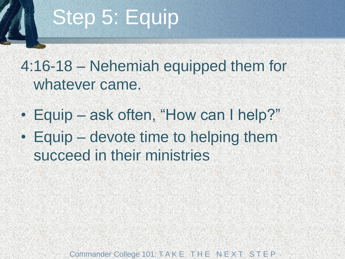# Step 5: Equip

### 4:16-18 – Nehemiah equipped them for whatever came.

- Equip ask often, "How can I help?"
- Equip devote time to helping them succeed in their ministries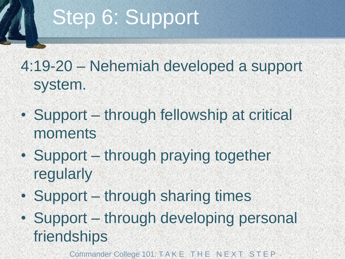# Step 6: Support

## 4:19-20 – Nehemiah developed a support system.

- Support through fellowship at critical moments
- Support through praying together regularly
- Support through sharing times
- Support through developing personal friendships
	- Commander College 101: T A K E T H E N E X T S T E P